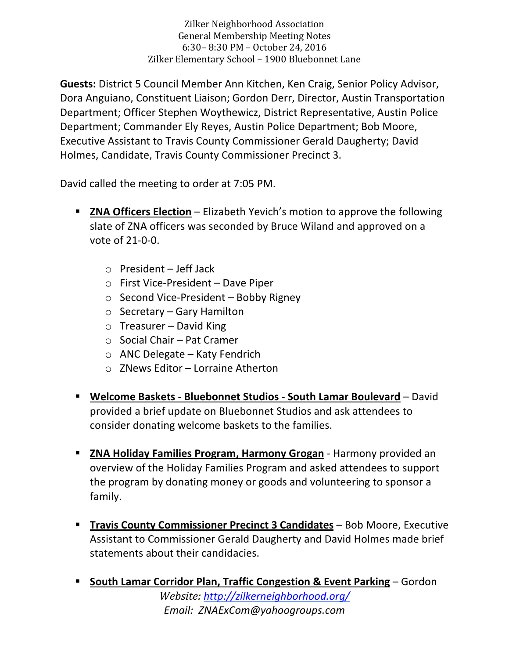Zilker Neighborhood Association General Membership Meeting Notes 6:30 - 8:30 PM - October 24, 2016 Zilker Elementary School - 1900 Bluebonnet Lane

**Guests:** District 5 Council Member Ann Kitchen, Ken Craig, Senior Policy Advisor, Dora Anguiano, Constituent Liaison; Gordon Derr, Director, Austin Transportation Department; Officer Stephen Woythewicz, District Representative, Austin Police Department; Commander Ely Reyes, Austin Police Department; Bob Moore, Executive Assistant to Travis County Commissioner Gerald Daugherty; David Holmes, Candidate, Travis County Commissioner Precinct 3.

David called the meeting to order at 7:05 PM.

- **EXA Officers Election** Elizabeth Yevich's motion to approve the following slate of ZNA officers was seconded by Bruce Wiland and approved on a vote of  $21-0-0$ .
	- $\circ$  President Jeff Jack
	- $\circ$  First Vice-President Dave Piper
	- $\circ$  Second Vice-President Bobby Rigney
	- $\circ$  Secretary Gary Hamilton
	- $\circ$  Treasurer David King
	- $\circ$  Social Chair Pat Cramer
	- $\circ$  ANC Delegate Katy Fendrich
	- $\circ$  ZNews Editor Lorraine Atherton
- **E** Welcome Baskets Bluebonnet Studios South Lamar Boulevard David provided a brief update on Bluebonnet Studios and ask attendees to consider donating welcome baskets to the families.
- **E** ZNA Holiday Families Program, Harmony Grogan Harmony provided an overview of the Holiday Families Program and asked attendees to support the program by donating money or goods and volunteering to sponsor a family.
- **Travis County Commissioner Precinct 3 Candidates** Bob Moore, Executive Assistant to Commissioner Gerald Daugherty and David Holmes made brief statements about their candidacies.
- *Website: http://zilkerneighborhood.org/ Email: ZNAExCom@yahoogroups.com* **Example 1 South Lamar Corridor Plan, Traffic Congestion & Event Parking – Gordon**